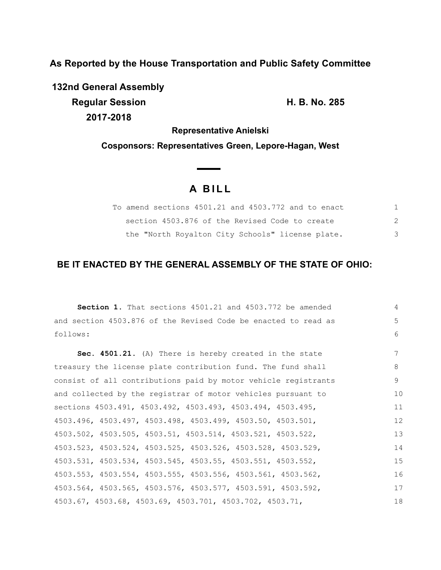**As Reported by the House Transportation and Public Safety Committee**

**132nd General Assembly Regular Session H. B. No. 285 2017-2018**

**Representative Anielski Cosponsors: Representatives Green, Lepore-Hagan, West**

# **A B I L L**

| To amend sections 4501.21 and 4503.772 and to enact |   |
|-----------------------------------------------------|---|
| section 4503.876 of the Revised Code to create      |   |
| the "North Royalton City Schools" license plate.    | 3 |

# **BE IT ENACTED BY THE GENERAL ASSEMBLY OF THE STATE OF OHIO:**

**Section 1.** That sections 4501.21 and 4503.772 be amended and section 4503.876 of the Revised Code be enacted to read as follows: **Sec. 4501.21.** (A) There is hereby created in the state treasury the license plate contribution fund. The fund shall consist of all contributions paid by motor vehicle registrants and collected by the registrar of motor vehicles pursuant to sections 4503.491, 4503.492, 4503.493, 4503.494, 4503.495, 4503.496, 4503.497, 4503.498, 4503.499, 4503.50, 4503.501, 4503.502, 4503.505, 4503.51, 4503.514, 4503.521, 4503.522, 4503.523, 4503.524, 4503.525, 4503.526, 4503.528, 4503.529, 4503.531, 4503.534, 4503.545, 4503.55, 4503.551, 4503.552, 4503.553, 4503.554, 4503.555, 4503.556, 4503.561, 4503.562, 4503.564, 4503.565, 4503.576, 4503.577, 4503.591, 4503.592, 4503.67, 4503.68, 4503.69, 4503.701, 4503.702, 4503.71, 4 5 6 7 8 9 10 11 12 13 14 15 16 17 18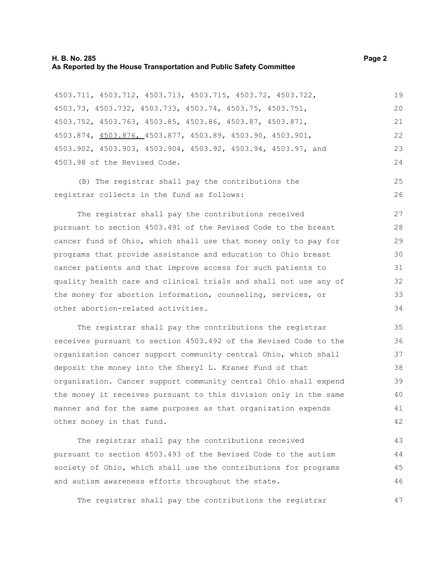#### **H. B. No. 285 Page 2 As Reported by the House Transportation and Public Safety Committee**

4503.711, 4503.712, 4503.713, 4503.715, 4503.72, 4503.722, 4503.73, 4503.732, 4503.733, 4503.74, 4503.75, 4503.751, 4503.752, 4503.763, 4503.85, 4503.86, 4503.87, 4503.871, 4503.874, 4503.876, 4503.877, 4503.89, 4503.90, 4503.901, 4503.902, 4503.903, 4503.904, 4503.92, 4503.94, 4503.97, and 4503.98 of the Revised Code. 19 20

(B) The registrar shall pay the contributions the registrar collects in the fund as follows: 25 26

The registrar shall pay the contributions received pursuant to section 4503.491 of the Revised Code to the breast cancer fund of Ohio, which shall use that money only to pay for programs that provide assistance and education to Ohio breast cancer patients and that improve access for such patients to quality health care and clinical trials and shall not use any of the money for abortion information, counseling, services, or other abortion-related activities.

The registrar shall pay the contributions the registrar receives pursuant to section 4503.492 of the Revised Code to the organization cancer support community central Ohio, which shall deposit the money into the Sheryl L. Kraner Fund of that organization. Cancer support community central Ohio shall expend the money it receives pursuant to this division only in the same manner and for the same purposes as that organization expends other money in that fund.

The registrar shall pay the contributions received pursuant to section 4503.493 of the Revised Code to the autism society of Ohio, which shall use the contributions for programs and autism awareness efforts throughout the state. 43 44 45 46

The registrar shall pay the contributions the registrar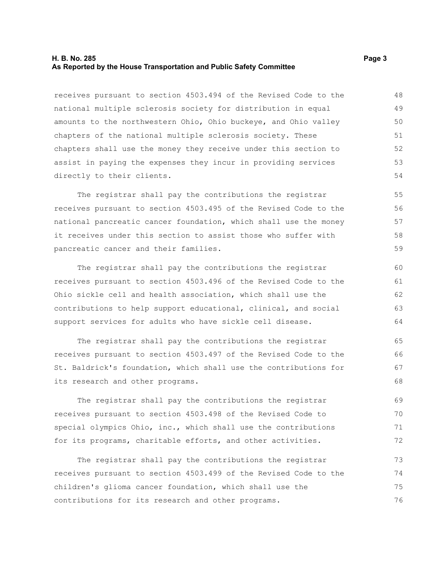#### **H. B. No. 285 Page 3 As Reported by the House Transportation and Public Safety Committee**

receives pursuant to section 4503.494 of the Revised Code to the national multiple sclerosis society for distribution in equal amounts to the northwestern Ohio, Ohio buckeye, and Ohio valley chapters of the national multiple sclerosis society. These chapters shall use the money they receive under this section to assist in paying the expenses they incur in providing services directly to their clients. 48 49 50 51 52 53 54

The registrar shall pay the contributions the registrar receives pursuant to section 4503.495 of the Revised Code to the national pancreatic cancer foundation, which shall use the money it receives under this section to assist those who suffer with pancreatic cancer and their families.

The registrar shall pay the contributions the registrar receives pursuant to section 4503.496 of the Revised Code to the Ohio sickle cell and health association, which shall use the contributions to help support educational, clinical, and social support services for adults who have sickle cell disease.

The registrar shall pay the contributions the registrar receives pursuant to section 4503.497 of the Revised Code to the St. Baldrick's foundation, which shall use the contributions for its research and other programs. 65 66 67 68

The registrar shall pay the contributions the registrar receives pursuant to section 4503.498 of the Revised Code to special olympics Ohio, inc., which shall use the contributions for its programs, charitable efforts, and other activities. 69 70 71 72

The registrar shall pay the contributions the registrar receives pursuant to section 4503.499 of the Revised Code to the children's glioma cancer foundation, which shall use the contributions for its research and other programs. 73 74 75 76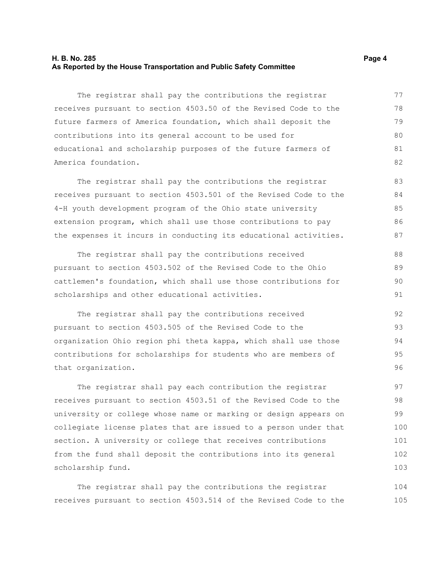#### **H. B. No. 285 Page 4 As Reported by the House Transportation and Public Safety Committee**

The registrar shall pay the contributions the registrar receives pursuant to section 4503.50 of the Revised Code to the future farmers of America foundation, which shall deposit the contributions into its general account to be used for educational and scholarship purposes of the future farmers of America foundation. 77 78 79 80 81 82

The registrar shall pay the contributions the registrar receives pursuant to section 4503.501 of the Revised Code to the 4-H youth development program of the Ohio state university extension program, which shall use those contributions to pay the expenses it incurs in conducting its educational activities. 83 84 85 86 87

The registrar shall pay the contributions received pursuant to section 4503.502 of the Revised Code to the Ohio cattlemen's foundation, which shall use those contributions for scholarships and other educational activities. 88 89 90 91

The registrar shall pay the contributions received pursuant to section 4503.505 of the Revised Code to the organization Ohio region phi theta kappa, which shall use those contributions for scholarships for students who are members of that organization. 92 93 94 95 96

The registrar shall pay each contribution the registrar receives pursuant to section 4503.51 of the Revised Code to the university or college whose name or marking or design appears on collegiate license plates that are issued to a person under that section. A university or college that receives contributions from the fund shall deposit the contributions into its general scholarship fund. 97 98 99 100 101 102 103

The registrar shall pay the contributions the registrar receives pursuant to section 4503.514 of the Revised Code to the 104 105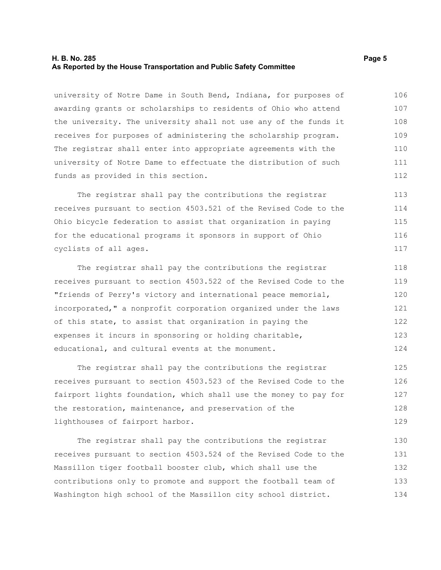#### **H. B. No. 285 Page 5 As Reported by the House Transportation and Public Safety Committee**

university of Notre Dame in South Bend, Indiana, for purposes of awarding grants or scholarships to residents of Ohio who attend the university. The university shall not use any of the funds it receives for purposes of administering the scholarship program. The registrar shall enter into appropriate agreements with the university of Notre Dame to effectuate the distribution of such funds as provided in this section. 106 107 108 109 110 111 112

The registrar shall pay the contributions the registrar receives pursuant to section 4503.521 of the Revised Code to the Ohio bicycle federation to assist that organization in paying for the educational programs it sponsors in support of Ohio cyclists of all ages. 113 114 115 116 117

The registrar shall pay the contributions the registrar receives pursuant to section 4503.522 of the Revised Code to the "friends of Perry's victory and international peace memorial, incorporated," a nonprofit corporation organized under the laws of this state, to assist that organization in paying the expenses it incurs in sponsoring or holding charitable, educational, and cultural events at the monument. 118 119 120 121 122 123 124

The registrar shall pay the contributions the registrar receives pursuant to section 4503.523 of the Revised Code to the fairport lights foundation, which shall use the money to pay for the restoration, maintenance, and preservation of the lighthouses of fairport harbor. 125 126 127 128 129

The registrar shall pay the contributions the registrar receives pursuant to section 4503.524 of the Revised Code to the Massillon tiger football booster club, which shall use the contributions only to promote and support the football team of Washington high school of the Massillon city school district. 130 131 132 133 134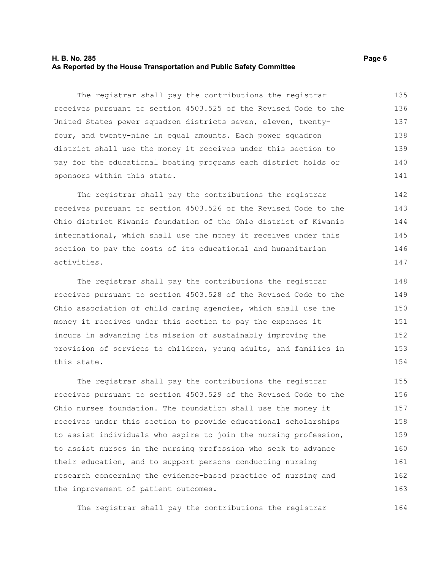#### **H. B. No. 285 Page 6 As Reported by the House Transportation and Public Safety Committee**

The registrar shall pay the contributions the registrar receives pursuant to section 4503.525 of the Revised Code to the United States power squadron districts seven, eleven, twentyfour, and twenty-nine in equal amounts. Each power squadron district shall use the money it receives under this section to pay for the educational boating programs each district holds or sponsors within this state. 135 136 137 138 139 140 141

The registrar shall pay the contributions the registrar receives pursuant to section 4503.526 of the Revised Code to the Ohio district Kiwanis foundation of the Ohio district of Kiwanis international, which shall use the money it receives under this section to pay the costs of its educational and humanitarian activities. 142 143 144 145 146 147

The registrar shall pay the contributions the registrar receives pursuant to section 4503.528 of the Revised Code to the Ohio association of child caring agencies, which shall use the money it receives under this section to pay the expenses it incurs in advancing its mission of sustainably improving the provision of services to children, young adults, and families in this state.

The registrar shall pay the contributions the registrar receives pursuant to section 4503.529 of the Revised Code to the Ohio nurses foundation. The foundation shall use the money it receives under this section to provide educational scholarships to assist individuals who aspire to join the nursing profession, to assist nurses in the nursing profession who seek to advance their education, and to support persons conducting nursing research concerning the evidence-based practice of nursing and the improvement of patient outcomes. 155 156 157 158 159 160 161 162 163

The registrar shall pay the contributions the registrar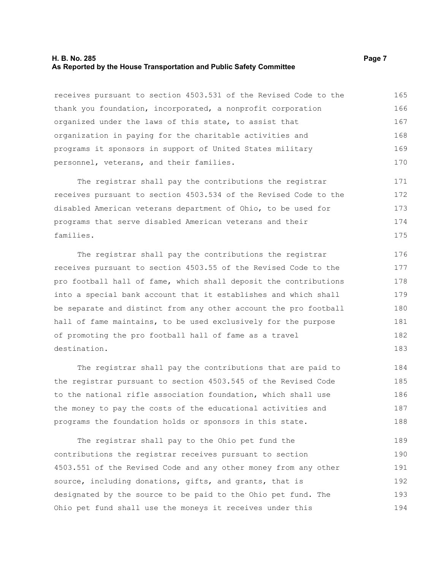#### **H. B. No. 285 Page 7 As Reported by the House Transportation and Public Safety Committee**

receives pursuant to section 4503.531 of the Revised Code to the thank you foundation, incorporated, a nonprofit corporation organized under the laws of this state, to assist that organization in paying for the charitable activities and programs it sponsors in support of United States military personnel, veterans, and their families. 165 166 167 168 169 170

The registrar shall pay the contributions the registrar receives pursuant to section 4503.534 of the Revised Code to the disabled American veterans department of Ohio, to be used for programs that serve disabled American veterans and their families. 171 172 173 174 175

The registrar shall pay the contributions the registrar receives pursuant to section 4503.55 of the Revised Code to the pro football hall of fame, which shall deposit the contributions into a special bank account that it establishes and which shall be separate and distinct from any other account the pro football hall of fame maintains, to be used exclusively for the purpose of promoting the pro football hall of fame as a travel destination. 176 177 178 179 180 181 182 183

The registrar shall pay the contributions that are paid to the registrar pursuant to section 4503.545 of the Revised Code to the national rifle association foundation, which shall use the money to pay the costs of the educational activities and programs the foundation holds or sponsors in this state. 184 185 186 187 188

The registrar shall pay to the Ohio pet fund the contributions the registrar receives pursuant to section 4503.551 of the Revised Code and any other money from any other source, including donations, gifts, and grants, that is designated by the source to be paid to the Ohio pet fund. The Ohio pet fund shall use the moneys it receives under this 189 190 191 192 193 194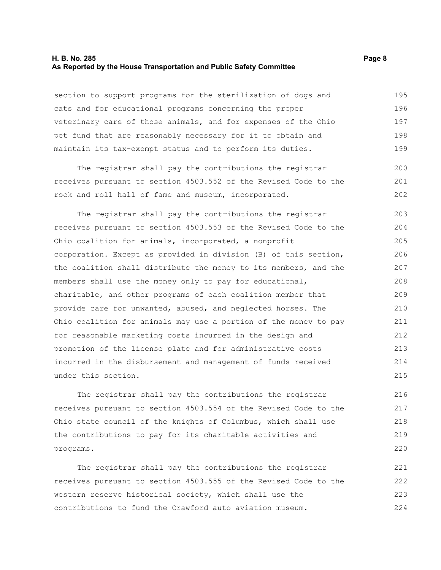#### **H. B. No. 285 Page 8 As Reported by the House Transportation and Public Safety Committee**

section to support programs for the sterilization of dogs and cats and for educational programs concerning the proper veterinary care of those animals, and for expenses of the Ohio pet fund that are reasonably necessary for it to obtain and maintain its tax-exempt status and to perform its duties. 195 196 197 198 199

The registrar shall pay the contributions the registrar receives pursuant to section 4503.552 of the Revised Code to the rock and roll hall of fame and museum, incorporated. 200 201 202

The registrar shall pay the contributions the registrar receives pursuant to section 4503.553 of the Revised Code to the Ohio coalition for animals, incorporated, a nonprofit corporation. Except as provided in division (B) of this section, the coalition shall distribute the money to its members, and the members shall use the money only to pay for educational, charitable, and other programs of each coalition member that provide care for unwanted, abused, and neglected horses. The Ohio coalition for animals may use a portion of the money to pay for reasonable marketing costs incurred in the design and promotion of the license plate and for administrative costs incurred in the disbursement and management of funds received under this section. 203 204 205 206 207 208 209 210 211 212 213 214 215

The registrar shall pay the contributions the registrar receives pursuant to section 4503.554 of the Revised Code to the Ohio state council of the knights of Columbus, which shall use the contributions to pay for its charitable activities and programs.

The registrar shall pay the contributions the registrar receives pursuant to section 4503.555 of the Revised Code to the western reserve historical society, which shall use the contributions to fund the Crawford auto aviation museum. 221 222 223 224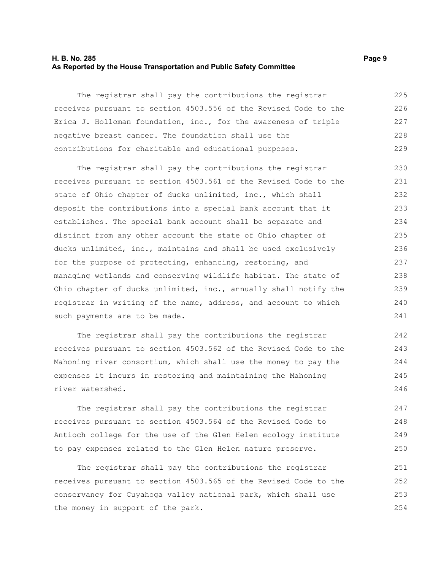#### **H. B. No. 285 Page 9 As Reported by the House Transportation and Public Safety Committee**

The registrar shall pay the contributions the registrar receives pursuant to section 4503.556 of the Revised Code to the Erica J. Holloman foundation, inc., for the awareness of triple negative breast cancer. The foundation shall use the contributions for charitable and educational purposes. 225 226 227 228 229

The registrar shall pay the contributions the registrar receives pursuant to section 4503.561 of the Revised Code to the state of Ohio chapter of ducks unlimited, inc., which shall deposit the contributions into a special bank account that it establishes. The special bank account shall be separate and distinct from any other account the state of Ohio chapter of ducks unlimited, inc., maintains and shall be used exclusively for the purpose of protecting, enhancing, restoring, and managing wetlands and conserving wildlife habitat. The state of Ohio chapter of ducks unlimited, inc., annually shall notify the registrar in writing of the name, address, and account to which such payments are to be made. 230 231 232 233 234 235 236 237 238 239 240 241

The registrar shall pay the contributions the registrar receives pursuant to section 4503.562 of the Revised Code to the Mahoning river consortium, which shall use the money to pay the expenses it incurs in restoring and maintaining the Mahoning river watershed.

The registrar shall pay the contributions the registrar receives pursuant to section 4503.564 of the Revised Code to Antioch college for the use of the Glen Helen ecology institute to pay expenses related to the Glen Helen nature preserve.

The registrar shall pay the contributions the registrar receives pursuant to section 4503.565 of the Revised Code to the conservancy for Cuyahoga valley national park, which shall use the money in support of the park. 251 252 253 254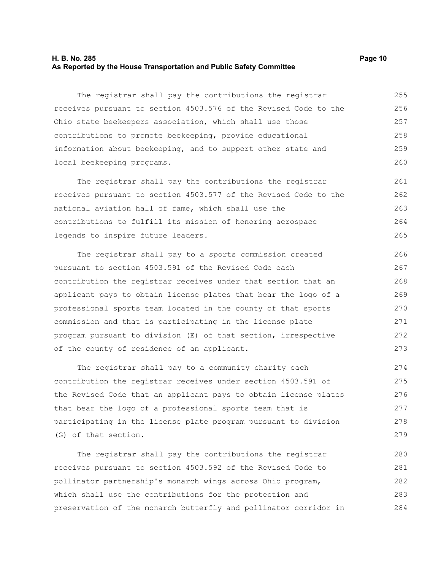#### **H. B. No. 285 Page 10 As Reported by the House Transportation and Public Safety Committee**

The registrar shall pay the contributions the registrar receives pursuant to section 4503.576 of the Revised Code to the Ohio state beekeepers association, which shall use those contributions to promote beekeeping, provide educational information about beekeeping, and to support other state and local beekeeping programs. 255 256 257 258 259 260

The registrar shall pay the contributions the registrar receives pursuant to section 4503.577 of the Revised Code to the national aviation hall of fame, which shall use the contributions to fulfill its mission of honoring aerospace legends to inspire future leaders. 261 262 263 264 265

The registrar shall pay to a sports commission created pursuant to section 4503.591 of the Revised Code each contribution the registrar receives under that section that an applicant pays to obtain license plates that bear the logo of a professional sports team located in the county of that sports commission and that is participating in the license plate program pursuant to division (E) of that section, irrespective of the county of residence of an applicant. 266 267 268 269 270 271 272 273

The registrar shall pay to a community charity each contribution the registrar receives under section 4503.591 of the Revised Code that an applicant pays to obtain license plates that bear the logo of a professional sports team that is participating in the license plate program pursuant to division (G) of that section. 274 275 276 277 278 279

The registrar shall pay the contributions the registrar receives pursuant to section 4503.592 of the Revised Code to pollinator partnership's monarch wings across Ohio program, which shall use the contributions for the protection and preservation of the monarch butterfly and pollinator corridor in 280 281 282 283 284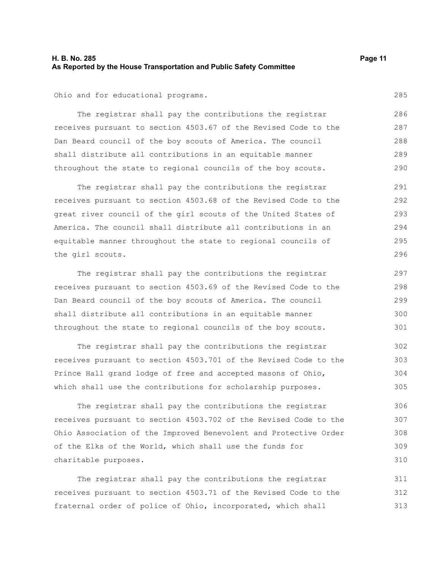#### **H. B. No. 285 Page 11 As Reported by the House Transportation and Public Safety Committee**

Ohio and for educational programs.

The registrar shall pay the contributions the registrar receives pursuant to section 4503.67 of the Revised Code to the Dan Beard council of the boy scouts of America. The council shall distribute all contributions in an equitable manner throughout the state to regional councils of the boy scouts. 286 287 288 289 290

The registrar shall pay the contributions the registrar receives pursuant to section 4503.68 of the Revised Code to the great river council of the girl scouts of the United States of America. The council shall distribute all contributions in an equitable manner throughout the state to regional councils of the girl scouts. 291 292 293 294 295 296

The registrar shall pay the contributions the registrar receives pursuant to section 4503.69 of the Revised Code to the Dan Beard council of the boy scouts of America. The council shall distribute all contributions in an equitable manner throughout the state to regional councils of the boy scouts. 297 298 299 300 301

The registrar shall pay the contributions the registrar receives pursuant to section 4503.701 of the Revised Code to the Prince Hall grand lodge of free and accepted masons of Ohio, which shall use the contributions for scholarship purposes. 302 303 304 305

The registrar shall pay the contributions the registrar receives pursuant to section 4503.702 of the Revised Code to the Ohio Association of the Improved Benevolent and Protective Order of the Elks of the World, which shall use the funds for charitable purposes.

The registrar shall pay the contributions the registrar receives pursuant to section 4503.71 of the Revised Code to the fraternal order of police of Ohio, incorporated, which shall 311 312 313

285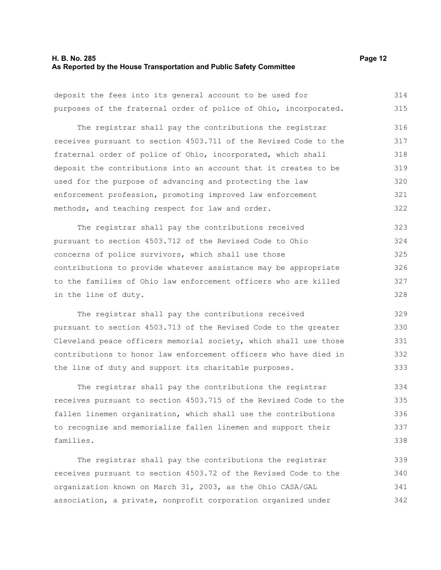#### **H. B. No. 285 Page 12 As Reported by the House Transportation and Public Safety Committee**

deposit the fees into its general account to be used for purposes of the fraternal order of police of Ohio, incorporated. 314 315

The registrar shall pay the contributions the registrar receives pursuant to section 4503.711 of the Revised Code to the fraternal order of police of Ohio, incorporated, which shall deposit the contributions into an account that it creates to be used for the purpose of advancing and protecting the law enforcement profession, promoting improved law enforcement methods, and teaching respect for law and order. 316 317 318 319 320 321 322

The registrar shall pay the contributions received pursuant to section 4503.712 of the Revised Code to Ohio concerns of police survivors, which shall use those contributions to provide whatever assistance may be appropriate to the families of Ohio law enforcement officers who are killed in the line of duty. 323 324 325 326 327 328

The registrar shall pay the contributions received pursuant to section 4503.713 of the Revised Code to the greater Cleveland peace officers memorial society, which shall use those contributions to honor law enforcement officers who have died in the line of duty and support its charitable purposes. 329 330 331 332 333

The registrar shall pay the contributions the registrar receives pursuant to section 4503.715 of the Revised Code to the fallen linemen organization, which shall use the contributions to recognize and memorialize fallen linemen and support their families.

The registrar shall pay the contributions the registrar receives pursuant to section 4503.72 of the Revised Code to the organization known on March 31, 2003, as the Ohio CASA/GAL association, a private, nonprofit corporation organized under 339 340 341 342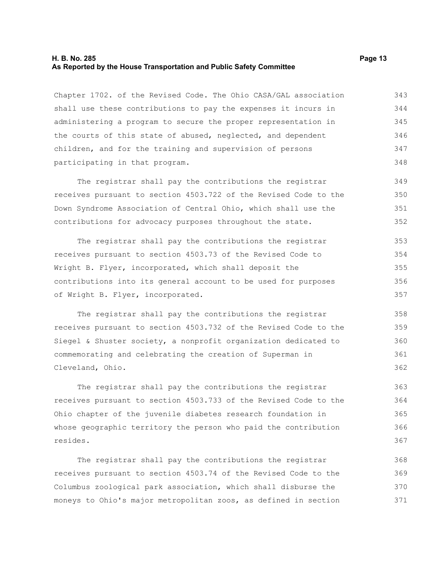#### **H. B. No. 285 Page 13 As Reported by the House Transportation and Public Safety Committee**

Chapter 1702. of the Revised Code. The Ohio CASA/GAL association shall use these contributions to pay the expenses it incurs in administering a program to secure the proper representation in the courts of this state of abused, neglected, and dependent children, and for the training and supervision of persons participating in that program. 343 344 345 346 347 348

The registrar shall pay the contributions the registrar receives pursuant to section 4503.722 of the Revised Code to the Down Syndrome Association of Central Ohio, which shall use the contributions for advocacy purposes throughout the state. 349 350 351 352

The registrar shall pay the contributions the registrar receives pursuant to section 4503.73 of the Revised Code to Wright B. Flyer, incorporated, which shall deposit the contributions into its general account to be used for purposes of Wright B. Flyer, incorporated. 353 354 355 356 357

The registrar shall pay the contributions the registrar receives pursuant to section 4503.732 of the Revised Code to the Siegel & Shuster society, a nonprofit organization dedicated to commemorating and celebrating the creation of Superman in Cleveland, Ohio.

The registrar shall pay the contributions the registrar receives pursuant to section 4503.733 of the Revised Code to the Ohio chapter of the juvenile diabetes research foundation in whose geographic territory the person who paid the contribution resides.

The registrar shall pay the contributions the registrar receives pursuant to section 4503.74 of the Revised Code to the Columbus zoological park association, which shall disburse the moneys to Ohio's major metropolitan zoos, as defined in section 368 369 370 371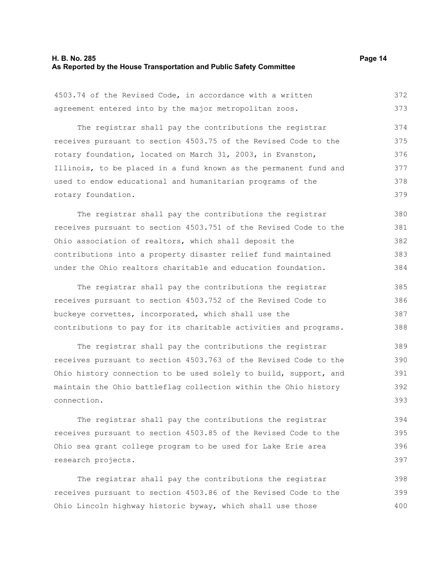# **H. B. No. 285 Page 14 As Reported by the House Transportation and Public Safety Committee**

400

| 4503.74 of the Revised Code, in accordance with a written        | 372 |
|------------------------------------------------------------------|-----|
| agreement entered into by the major metropolitan zoos.           | 373 |
| The registrar shall pay the contributions the registrar          | 374 |
| receives pursuant to section 4503.75 of the Revised Code to the  | 375 |
| rotary foundation, located on March 31, 2003, in Evanston,       | 376 |
| Illinois, to be placed in a fund known as the permanent fund and | 377 |
| used to endow educational and humanitarian programs of the       | 378 |
| rotary foundation.                                               | 379 |
| The registrar shall pay the contributions the registrar          | 380 |
| receives pursuant to section 4503.751 of the Revised Code to the | 381 |
|                                                                  |     |
| Ohio association of realtors, which shall deposit the            | 382 |
| contributions into a property disaster relief fund maintained    | 383 |
| under the Ohio realtors charitable and education foundation.     | 384 |
| The registrar shall pay the contributions the registrar          | 385 |
| receives pursuant to section 4503.752 of the Revised Code to     | 386 |
| buckeye corvettes, incorporated, which shall use the             | 387 |
| contributions to pay for its charitable activities and programs. | 388 |
| The registrar shall pay the contributions the registrar          | 389 |
| receives pursuant to section 4503.763 of the Revised Code to the | 390 |
| Ohio history connection to be used solely to build, support, and | 391 |
| maintain the Ohio battleflag collection within the Ohio history  | 392 |
| connection.                                                      | 393 |
| The registrar shall pay the contributions the registrar          | 394 |
| receives pursuant to section 4503.85 of the Revised Code to the  | 395 |
| Ohio sea grant college program to be used for Lake Erie area     | 396 |
| research projects.                                               | 397 |
| The registrar shall pay the contributions the registrar          | 398 |
| receives pursuant to section 4503.86 of the Revised Code to the  | 399 |
|                                                                  |     |

Ohio Lincoln highway historic byway, which shall use those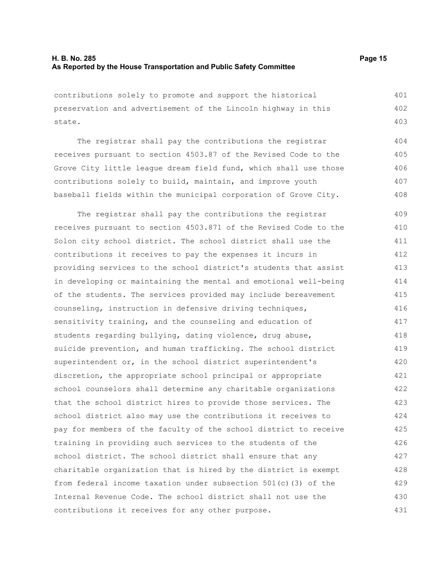state.

contributions solely to promote and support the historical preservation and advertisement of the Lincoln highway in this 401 402

The registrar shall pay the contributions the registrar receives pursuant to section 4503.87 of the Revised Code to the Grove City little league dream field fund, which shall use those contributions solely to build, maintain, and improve youth baseball fields within the municipal corporation of Grove City. 404 405 406 407 408

The registrar shall pay the contributions the registrar receives pursuant to section 4503.871 of the Revised Code to the Solon city school district. The school district shall use the contributions it receives to pay the expenses it incurs in providing services to the school district's students that assist in developing or maintaining the mental and emotional well-being of the students. The services provided may include bereavement counseling, instruction in defensive driving techniques, sensitivity training, and the counseling and education of students regarding bullying, dating violence, drug abuse, suicide prevention, and human trafficking. The school district superintendent or, in the school district superintendent's discretion, the appropriate school principal or appropriate school counselors shall determine any charitable organizations that the school district hires to provide those services. The school district also may use the contributions it receives to pay for members of the faculty of the school district to receive training in providing such services to the students of the school district. The school district shall ensure that any charitable organization that is hired by the district is exempt from federal income taxation under subsection 501(c)(3) of the Internal Revenue Code. The school district shall not use the contributions it receives for any other purpose. 409 410 411 412 413 414 415 416 417 418 419 420 421 422 423 424 425 426 427 428 429 430 431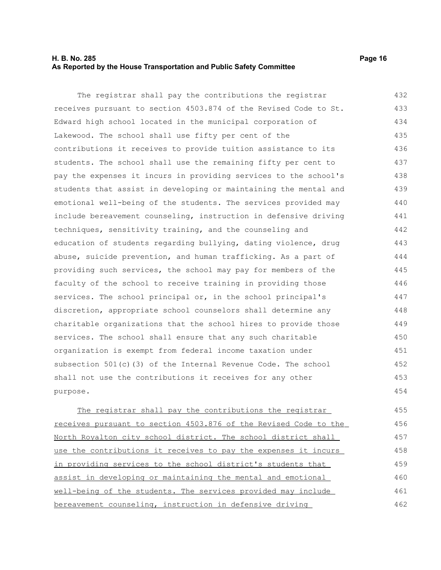#### **H. B. No. 285 Page 16 As Reported by the House Transportation and Public Safety Committee**

The registrar shall pay the contributions the registrar receives pursuant to section 4503.874 of the Revised Code to St. Edward high school located in the municipal corporation of Lakewood. The school shall use fifty per cent of the contributions it receives to provide tuition assistance to its students. The school shall use the remaining fifty per cent to pay the expenses it incurs in providing services to the school's students that assist in developing or maintaining the mental and emotional well-being of the students. The services provided may include bereavement counseling, instruction in defensive driving techniques, sensitivity training, and the counseling and education of students regarding bullying, dating violence, drug abuse, suicide prevention, and human trafficking. As a part of providing such services, the school may pay for members of the faculty of the school to receive training in providing those services. The school principal or, in the school principal's discretion, appropriate school counselors shall determine any charitable organizations that the school hires to provide those services. The school shall ensure that any such charitable organization is exempt from federal income taxation under subsection 501(c)(3) of the Internal Revenue Code. The school shall not use the contributions it receives for any other purpose. 432 433 434 435 436 437 438 439 440 441 442 443 444 445 446 447 448 449 450 451 452 453 454

The registrar shall pay the contributions the registrar receives pursuant to section 4503.876 of the Revised Code to the North Royalton city school district. The school district shall use the contributions it receives to pay the expenses it incurs in providing services to the school district's students that assist in developing or maintaining the mental and emotional well-being of the students. The services provided may include bereavement counseling, instruction in defensive driving 455 456 457 458 459 460 461 462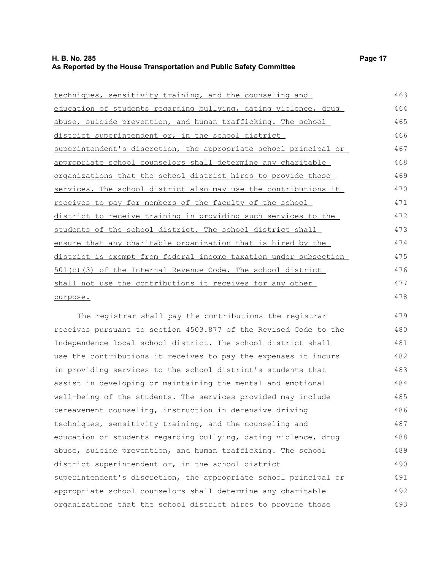| techniques, sensitivity training, and the counseling and           | 463 |
|--------------------------------------------------------------------|-----|
| education of students regarding bullying, dating violence, drug    | 464 |
| abuse, suicide prevention, and human trafficking. The school       | 465 |
| district superintendent or, in the school district                 | 466 |
| superintendent's discretion, the appropriate school principal or   | 467 |
| appropriate school counselors shall determine any charitable       | 468 |
| organizations that the school district hires to provide those      | 469 |
| services. The school district also may use the contributions it    | 470 |
| receives to pay for members of the faculty of the school           | 471 |
| district to receive training in providing such services to the     | 472 |
| students of the school district. The school district shall         | 473 |
| ensure that any charitable organization that is hired by the       | 474 |
| district is exempt from federal income taxation under subsection   | 475 |
| <u>501(c)(3) of the Internal Revenue Code. The school district</u> | 476 |
| shall not use the contributions it receives for any other          | 477 |
| purpose.                                                           | 478 |

The registrar shall pay the contributions the registrar receives pursuant to section 4503.877 of the Revised Code to the Independence local school district. The school district shall use the contributions it receives to pay the expenses it incurs in providing services to the school district's students that assist in developing or maintaining the mental and emotional well-being of the students. The services provided may include bereavement counseling, instruction in defensive driving techniques, sensitivity training, and the counseling and education of students regarding bullying, dating violence, drug abuse, suicide prevention, and human trafficking. The school district superintendent or, in the school district superintendent's discretion, the appropriate school principal or appropriate school counselors shall determine any charitable organizations that the school district hires to provide those 479 480 481 482 483 484 485 486 487 488 489 490 491 492 493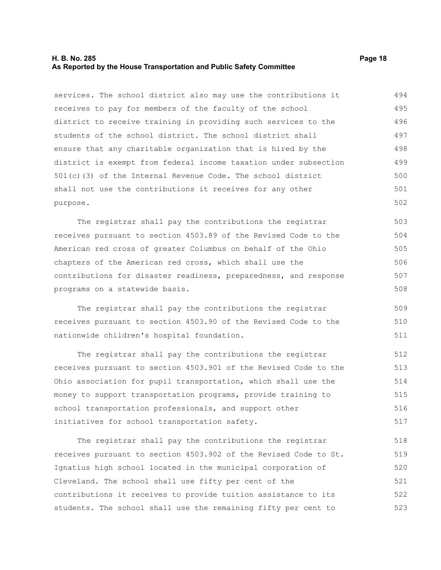#### **H. B. No. 285 Page 18 As Reported by the House Transportation and Public Safety Committee**

services. The school district also may use the contributions it receives to pay for members of the faculty of the school district to receive training in providing such services to the students of the school district. The school district shall ensure that any charitable organization that is hired by the district is exempt from federal income taxation under subsection 501(c)(3) of the Internal Revenue Code. The school district shall not use the contributions it receives for any other purpose. 494 495 496 497 498 499 500 501 502

The registrar shall pay the contributions the registrar receives pursuant to section 4503.89 of the Revised Code to the American red cross of greater Columbus on behalf of the Ohio chapters of the American red cross, which shall use the contributions for disaster readiness, preparedness, and response programs on a statewide basis. 503 504 505 506 507 508

The registrar shall pay the contributions the registrar receives pursuant to section 4503.90 of the Revised Code to the nationwide children's hospital foundation.

The registrar shall pay the contributions the registrar receives pursuant to section 4503.901 of the Revised Code to the Ohio association for pupil transportation, which shall use the money to support transportation programs, provide training to school transportation professionals, and support other initiatives for school transportation safety. 512 513 514 515 516 517

The registrar shall pay the contributions the registrar receives pursuant to section 4503.902 of the Revised Code to St. Ignatius high school located in the municipal corporation of Cleveland. The school shall use fifty per cent of the contributions it receives to provide tuition assistance to its students. The school shall use the remaining fifty per cent to 518 519 520 521 522 523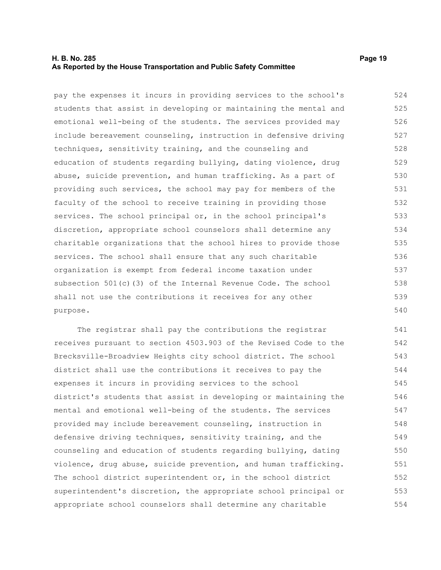#### **H. B. No. 285 Page 19 As Reported by the House Transportation and Public Safety Committee**

pay the expenses it incurs in providing services to the school's students that assist in developing or maintaining the mental and emotional well-being of the students. The services provided may include bereavement counseling, instruction in defensive driving techniques, sensitivity training, and the counseling and education of students regarding bullying, dating violence, drug abuse, suicide prevention, and human trafficking. As a part of providing such services, the school may pay for members of the faculty of the school to receive training in providing those services. The school principal or, in the school principal's discretion, appropriate school counselors shall determine any charitable organizations that the school hires to provide those services. The school shall ensure that any such charitable organization is exempt from federal income taxation under subsection 501(c)(3) of the Internal Revenue Code. The school shall not use the contributions it receives for any other purpose. 524 525 526 527 528 529 530 531 532 533 534 535 536 537 538 539 540

The registrar shall pay the contributions the registrar receives pursuant to section 4503.903 of the Revised Code to the Brecksville-Broadview Heights city school district. The school district shall use the contributions it receives to pay the expenses it incurs in providing services to the school district's students that assist in developing or maintaining the mental and emotional well-being of the students. The services provided may include bereavement counseling, instruction in defensive driving techniques, sensitivity training, and the counseling and education of students regarding bullying, dating violence, drug abuse, suicide prevention, and human trafficking. The school district superintendent or, in the school district superintendent's discretion, the appropriate school principal or appropriate school counselors shall determine any charitable 541 542 543 544 545 546 547 548 549 550 551 552 553 554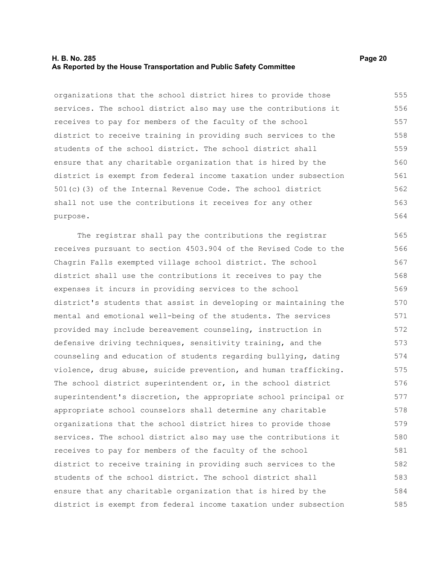#### **H. B. No. 285 Page 20 As Reported by the House Transportation and Public Safety Committee**

organizations that the school district hires to provide those services. The school district also may use the contributions it receives to pay for members of the faculty of the school district to receive training in providing such services to the students of the school district. The school district shall ensure that any charitable organization that is hired by the district is exempt from federal income taxation under subsection 501(c)(3) of the Internal Revenue Code. The school district shall not use the contributions it receives for any other purpose. 555 556 557 558 559 560 561 562 563 564

The registrar shall pay the contributions the registrar receives pursuant to section 4503.904 of the Revised Code to the Chagrin Falls exempted village school district. The school district shall use the contributions it receives to pay the expenses it incurs in providing services to the school district's students that assist in developing or maintaining the mental and emotional well-being of the students. The services provided may include bereavement counseling, instruction in defensive driving techniques, sensitivity training, and the counseling and education of students regarding bullying, dating violence, drug abuse, suicide prevention, and human trafficking. The school district superintendent or, in the school district superintendent's discretion, the appropriate school principal or appropriate school counselors shall determine any charitable organizations that the school district hires to provide those services. The school district also may use the contributions it receives to pay for members of the faculty of the school district to receive training in providing such services to the students of the school district. The school district shall ensure that any charitable organization that is hired by the district is exempt from federal income taxation under subsection 565 566 567 568 569 570 571 572 573 574 575 576 577 578 579 580 581 582 583 584 585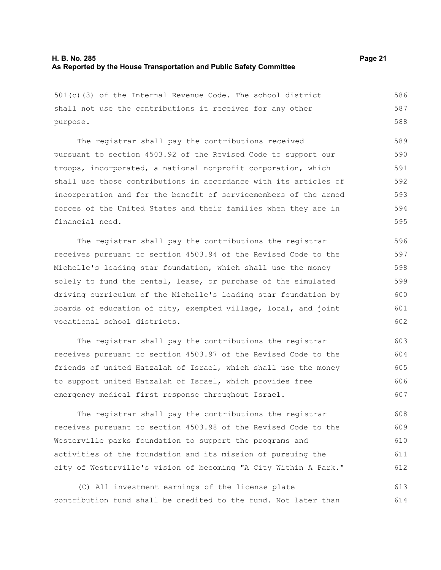501(c)(3) of the Internal Revenue Code. The school district shall not use the contributions it receives for any other purpose. The registrar shall pay the contributions received pursuant to section 4503.92 of the Revised Code to support our troops, incorporated, a national nonprofit corporation, which shall use those contributions in accordance with its articles of incorporation and for the benefit of servicemembers of the armed forces of the United States and their families when they are in financial need. The registrar shall pay the contributions the registrar 586 587 588 589 590 591 592 593 594 595 596

receives pursuant to section 4503.94 of the Revised Code to the Michelle's leading star foundation, which shall use the money solely to fund the rental, lease, or purchase of the simulated driving curriculum of the Michelle's leading star foundation by boards of education of city, exempted village, local, and joint vocational school districts. 597 598 599 600 601 602

The registrar shall pay the contributions the registrar receives pursuant to section 4503.97 of the Revised Code to the friends of united Hatzalah of Israel, which shall use the money to support united Hatzalah of Israel, which provides free emergency medical first response throughout Israel. 603 604 605 606 607

The registrar shall pay the contributions the registrar receives pursuant to section 4503.98 of the Revised Code to the Westerville parks foundation to support the programs and activities of the foundation and its mission of pursuing the city of Westerville's vision of becoming "A City Within A Park." 608 609 610 611 612

(C) All investment earnings of the license plate contribution fund shall be credited to the fund. Not later than 613 614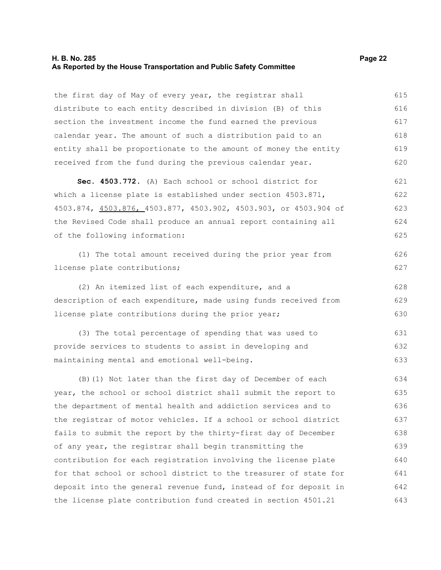#### **H. B. No. 285 Page 22 As Reported by the House Transportation and Public Safety Committee**

the first day of May of every year, the registrar shall distribute to each entity described in division (B) of this section the investment income the fund earned the previous calendar year. The amount of such a distribution paid to an entity shall be proportionate to the amount of money the entity received from the fund during the previous calendar year. 615 616 617 618 619 620

**Sec. 4503.772.** (A) Each school or school district for which a license plate is established under section 4503.871, 4503.874, 4503.876, 4503.877, 4503.902, 4503.903, or 4503.904 of the Revised Code shall produce an annual report containing all of the following information: 621 622 623 624 625

(1) The total amount received during the prior year from license plate contributions;

(2) An itemized list of each expenditure, and a description of each expenditure, made using funds received from license plate contributions during the prior year; 628 629 630

(3) The total percentage of spending that was used to provide services to students to assist in developing and maintaining mental and emotional well-being. 631 632 633

(B)(1) Not later than the first day of December of each year, the school or school district shall submit the report to the department of mental health and addiction services and to the registrar of motor vehicles. If a school or school district fails to submit the report by the thirty-first day of December of any year, the registrar shall begin transmitting the contribution for each registration involving the license plate for that school or school district to the treasurer of state for deposit into the general revenue fund, instead of for deposit in the license plate contribution fund created in section 4501.21 634 635 636 637 638 639 640 641 642 643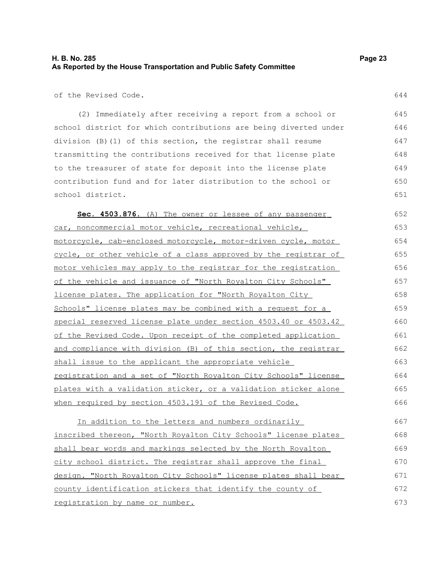of the Revised Code.

(2) Immediately after receiving a report from a school or school district for which contributions are being diverted under division (B)(1) of this section, the registrar shall resume transmitting the contributions received for that license plate to the treasurer of state for deposit into the license plate contribution fund and for later distribution to the school or school district. 645 646 647 648 649 650 651

 **Sec. 4503.876.** (A) The owner or lessee of any passenger car, noncommercial motor vehicle, recreational vehicle, motorcycle, cab-enclosed motorcycle, motor-driven cycle, motor cycle, or other vehicle of a class approved by the registrar of motor vehicles may apply to the registrar for the registration of the vehicle and issuance of "North Royalton City Schools" license plates. The application for "North Royalton City Schools" license plates may be combined with a request for a special reserved license plate under section 4503.40 or 4503.42 of the Revised Code. Upon receipt of the completed application and compliance with division (B) of this section, the registrar shall issue to the applicant the appropriate vehicle registration and a set of "North Royalton City Schools" license plates with a validation sticker, or a validation sticker alone when required by section 4503.191 of the Revised Code. 652 653 654 655 656 657 658 659 660 661 662 663 664 665 666

In addition to the letters and numbers ordinarily inscribed thereon, "North Royalton City Schools" license plates shall bear words and markings selected by the North Royalton city school district. The registrar shall approve the final design. "North Royalton City Schools" license plates shall bear county identification stickers that identify the county of registration by name or number. 667 668 669 670 671 672 673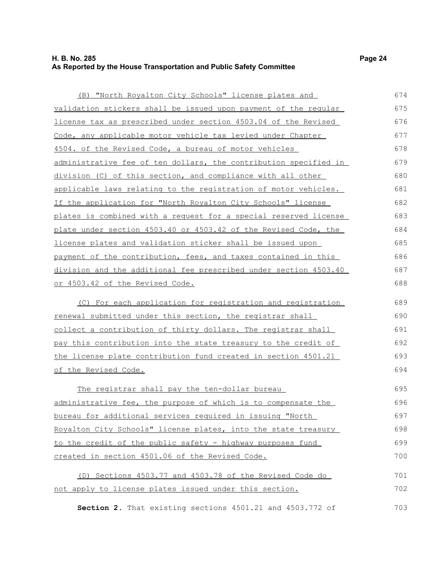### **H. B. No. 285 Page 24 As Reported by the House Transportation and Public Safety Committee**

| (B) "North Royalton City Schools" license plates and                     | 674 |
|--------------------------------------------------------------------------|-----|
| validation stickers shall be issued upon payment of the regular          | 675 |
| license tax as prescribed under section 4503.04 of the Revised           | 676 |
| Code, any applicable motor vehicle tax levied under Chapter              | 677 |
| 4504. of the Revised Code, a bureau of motor vehicles                    | 678 |
| <u>administrative fee of ten dollars, the contribution specified in </u> | 679 |
| division (C) of this section, and compliance with all other              | 680 |
| applicable laws relating to the registration of motor vehicles.          | 681 |
| If the application for "North Royalton City Schools" license             | 682 |
| plates is combined with a request for a special reserved license         | 683 |
| plate under section 4503.40 or 4503.42 of the Revised Code, the          | 684 |
| license plates and validation sticker shall be issued upon               | 685 |
| <u>payment of the contribution, fees, and taxes contained in this </u>   | 686 |
| division and the additional fee prescribed under section 4503.40         | 687 |
| or 4503.42 of the Revised Code.                                          | 688 |
| <u>(C) For each application for registration and registration</u>        | 689 |
| renewal submitted under this section, the registrar shall                | 690 |
| collect a contribution of thirty dollars. The registrar shall            | 691 |
| pay this contribution into the state treasury to the credit of           | 692 |
| the license plate contribution fund created in section 4501.21           | 693 |
| <u>of the Revised Code.</u>                                              | 694 |
| The registrar shall pay the ten-dollar bureau                            | 695 |
| administrative fee, the purpose of which is to compensate the            | 696 |

bureau for additional services required in issuing "North Royalton City Schools" license plates, into the state treasury to the credit of the public safety - highway purposes fund created in section 4501.06 of the Revised Code. 697 698 699 700

|  |  |  |  |  | (D) Sections 4503.77 and 4503.78 of the Revised Code do |  |  | 701 |
|--|--|--|--|--|---------------------------------------------------------|--|--|-----|
|  |  |  |  |  | not apply to license plates issued under this section.  |  |  | 702 |

**Section 2.** That existing sections 4501.21 and 4503.772 of 703